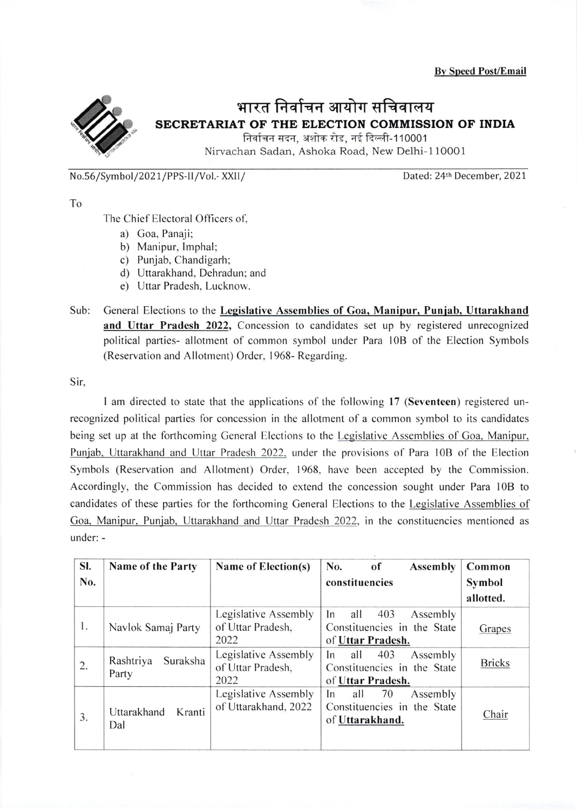Bv Speed Post/Email



## भारत निर्वाचन आयोग सचिवालय SECRETARIAT OF THE ELECTION COMMISSION OF INDIA

निर्वाचन सदन, अशोक रोड, नई दिल्ली-110001 Nirvachan Sadan, Ashoka Road, New Delhi-110001

No.56/Symbol/2021/PPS-II/Vol.- XXII/ Dated: 24th December, 2021

To

The Chief Electoral Officers of,

- a) Goa, Panaji:
- b) Manipur, Imphal;
- c) Punjab, Chandigarh;
- d) Uttarakhand. Dehradun; and
- e) Uttar Pradesh, Lucknow.
- Sub: General Elections to the Legislative Assemblies of Goa, Manipur, Punjab, Uttarakhand and Uttar Pradesh 2022, Concession to candidates set up by registered unrecognized political parties- allotment of common symbol under Para l0B of the Election Symbols (Reservation and Allotment) Order. 1968- Regarding.

<sup>S</sup>ir,

I am directed to state that the applications of the following l7 (Seventeen) registered unrecognized political parties for concession in the allotment of a common symbol to its candidates being set up at the forthcoming General Elections to the Legislative Assemblies of Goa, Manipur, Punjab, Uttarakhand and Uttar Pradesh 2022, under the provisions of Para 10B of the Election Symbols (Reservation and Allotment) Order. 1968. have been accepted by the Commission. Accordingly, the Commission has decided to extend the concession sought under Para l0B to candidates of these parties for the forthcoming General Elections to the Legislative Assemblies of Goa, Manipur, Punjab, Uttarakhand and Uttar Pradesh 2022, in the constituencies mentioned as under: -

| SI. | Name of the Party              | Name of Election(s)  | No.<br>of<br><b>Assembly</b>             | Common        |
|-----|--------------------------------|----------------------|------------------------------------------|---------------|
| No. |                                |                      | constituencies                           | Symbol        |
|     |                                |                      |                                          | allotted.     |
|     |                                | Legislative Assembly | In<br>403<br>all<br>Assembly             |               |
| 1.  | Navlok Samaj Party             | of Uttar Pradesh,    | Constituencies in the State              | Grapes        |
|     |                                | 2022                 | of Uttar Pradesh.                        |               |
| 2.  | Suraksha<br>Rashtriya<br>Party | Legislative Assembly | 403<br>all<br>Assembly<br>I <sub>n</sub> | <b>Bricks</b> |
|     |                                | of Uttar Pradesh,    | Constituencies in the State              |               |
|     |                                | 2022                 | of Uttar Pradesh.                        |               |
|     |                                | Legislative Assembly | all<br>Assembly<br>70<br>In              |               |
|     | Uttarakhand<br>Kranti          | of Uttarakhand, 2022 | Constituencies in the State              | Chair         |
| 3.  | Dal                            |                      | of Uttarakhand.                          |               |
|     |                                |                      |                                          |               |
|     |                                |                      |                                          |               |